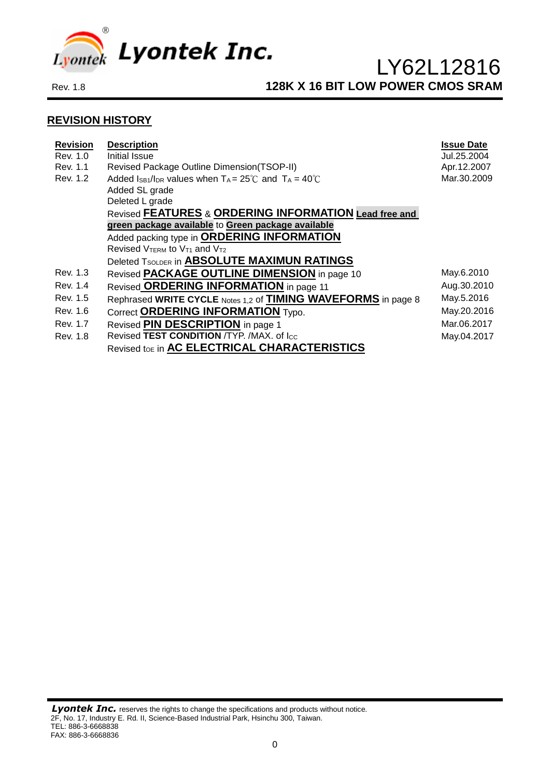

#### **REVISION HISTORY**

| <b>Revision</b><br>Rev. 1.0 | <b>Description</b><br>Initial Issue                                       | <b>Issue Date</b><br>Jul.25.2004 |
|-----------------------------|---------------------------------------------------------------------------|----------------------------------|
| Rev. 1.1                    | Revised Package Outline Dimension(TSOP-II)                                | Apr.12.2007                      |
| Rev. 1.2                    | Added Is B1/IDR values when $T_A = 25^{\circ}$ C and $T_A = 40^{\circ}$ C | Mar.30.2009                      |
|                             | Added SL grade                                                            |                                  |
|                             | Deleted L grade                                                           |                                  |
|                             | Revised FEATURES & ORDERING INFORMATION Lead free and                     |                                  |
|                             | green package available to Green package available                        |                                  |
|                             | Added packing type in ORDERING INFORMATION                                |                                  |
|                             | Revised VTERM to V <sub>T1</sub> and V <sub>T2</sub>                      |                                  |
|                             | Deleted TSOLDER in ABSOLUTE MAXIMUN RATINGS                               |                                  |
| Rev. 1.3                    | Revised PACKAGE OUTLINE DIMENSION in page 10                              | May.6.2010                       |
| Rev. 1.4                    | Revised ORDERING INFORMATION in page 11                                   | Aug.30.2010                      |
| Rev. 1.5                    | Rephrased WRITE CYCLE Notes 1,2 of <b>TIMING WAVEFORMS</b> in page 8      | May.5.2016                       |
| Rev. 1.6                    | Correct ORDERING INFORMATION Typo.                                        | May.20.2016                      |
| Rev. 1.7                    | Revised PIN DESCRIPTION in page 1                                         | Mar.06.2017                      |
| Rev. 1.8                    | Revised TEST CONDITION /TYP. /MAX. of Icc                                 | May.04.2017                      |
|                             | Revised toe in AC ELECTRICAL CHARACTERISTICS                              |                                  |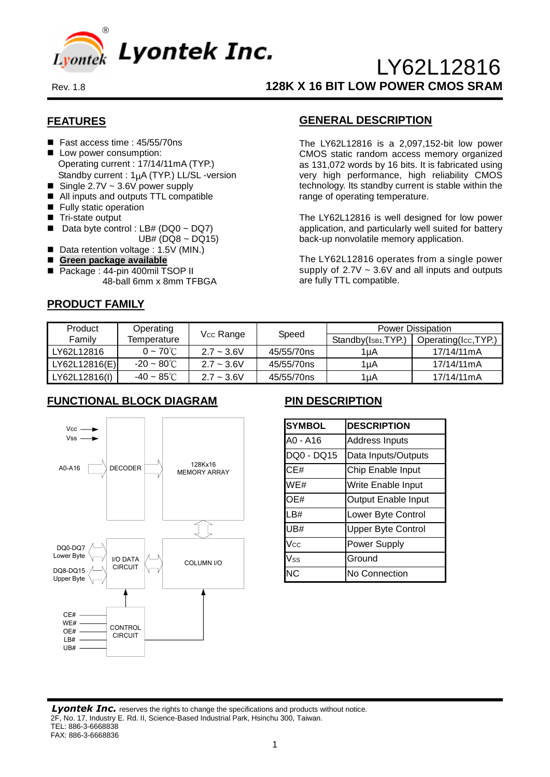

### **FEATURES**

- Fast access time : 45/55/70ns
- **Low power consumption:** Operating current : 17/14/11mA (TYP.) Standby current :  $1<sub>µ</sub>A$  (TYP.) LL/SL -version
- Single 2.7V  $\sim$  3.6V power supply
- All inputs and outputs TTL compatible
- **Fully static operation**
- Tri-state output
- Data byte control : LB# (DQ0 ~ DQ7)  $UB# (DQ8 ~ DQ15)$
- Data retention voltage : 1.5V (MIN.)
- **Green package available**
- Package : 44-pin 400mil TSOP II 48-ball 6mm x 8mm TFBGA

#### **PRODUCT FAMILY**

### **GENERAL DESCRIPTION**

The LY62L12816 is a 2,097,152-bit low power CMOS static random access memory organized as 131,072 words by 16 bits. It is fabricated using very high performance, high reliability CMOS technology. Its standby current is stable within the range of operating temperature.

The LY62L12816 is well designed for low power application, and particularly well suited for battery back-up nonvolatile memory application.

The LY62L12816 operates from a single power supply of  $2.7V \sim 3.6V$  and all inputs and outputs are fully TTL compatible.

| <b>Product</b> | Operating               |                       |            | <b>Power Dissipation</b>         |                             |  |  |
|----------------|-------------------------|-----------------------|------------|----------------------------------|-----------------------------|--|--|
| Family         | Temperature             | V <sub>cc</sub> Range | Speed      | Standby(I <sub>SB1</sub> , TYP.) | Operating( $I_{CC}$ , TYP.) |  |  |
| LY62L12816     | $0 \sim 70^{\circ}$ C   | $2.7 - 3.6V$          | 45/55/70ns | 1uA                              | 17/14/11mA                  |  |  |
| LY62L12816(E)  | $-20 \sim 80^{\circ}$ C | $2.7 - 3.6V$          | 45/55/70ns | 1µA                              | 17/14/11mA                  |  |  |
| LY62L12816(I)  | -40 ~ 85 $^{\circ}$ C   | $2.7 - 3.6V$          | 45/55/70ns | 1uA                              | 17/14/11mA                  |  |  |

### **FUNCTIONAL BLOCK DIAGRAM**



### **PIN DESCRIPTION**

| <b>SYMBOL</b> | <b>DESCRIPTION</b>        |
|---------------|---------------------------|
| A0 - A16      | <b>Address Inputs</b>     |
| DQ0 - DQ15    | Data Inputs/Outputs       |
| CE#           | Chip Enable Input         |
| WE#           | Write Enable Input        |
| OE#           | Output Enable Input       |
| LB#           | Lower Byte Control        |
| UB#           | <b>Upper Byte Control</b> |
| Vcc           | Power Supply              |
| Vss           | Ground                    |
| ΝC            | No Connection             |

**Lyontek Inc.** reserves the rights to change the specifications and products without notice. 2F, No. 17, Industry E. Rd. II, Science-Based Industrial Park, Hsinchu 300, Taiwan. TEL: 886-3-6668838 FAX: 886-3-6668836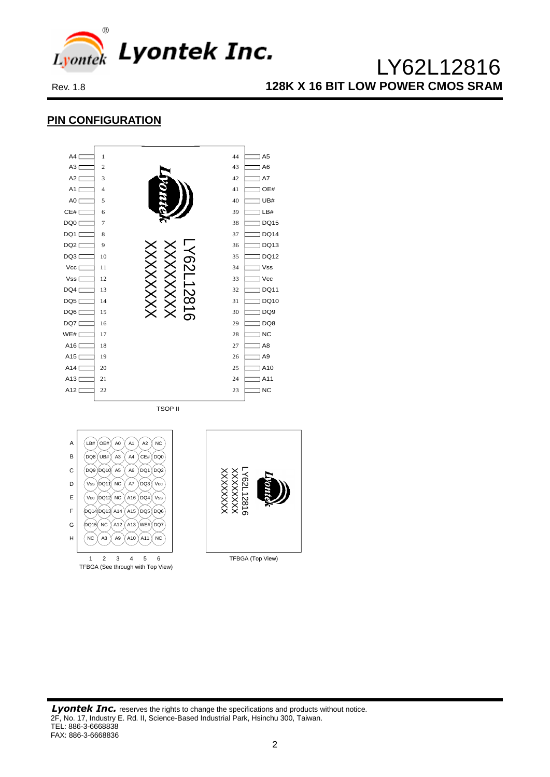

### **PIN CONFIGURATION**



TSOP II



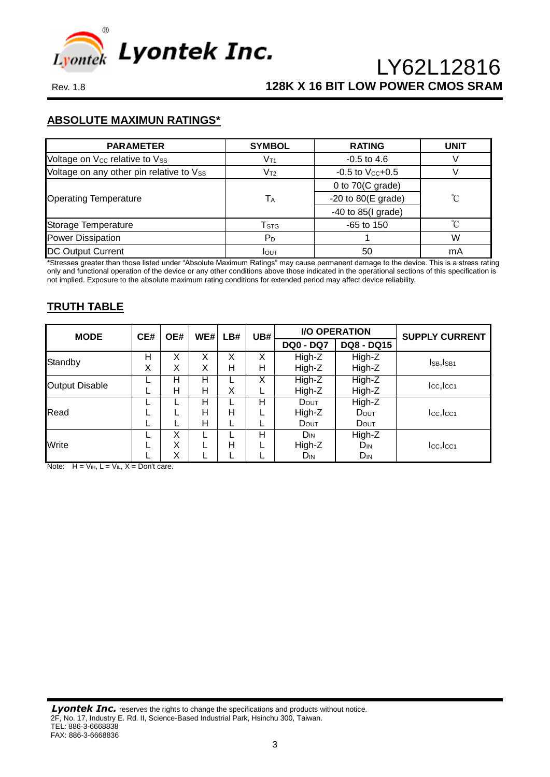

#### **ABSOLUTE MAXIMUN RATINGS\***

| <b>PARAMETER</b>                           | <b>SYMBOL</b>               | <b>RATING</b>                | <b>UNIT</b> |
|--------------------------------------------|-----------------------------|------------------------------|-------------|
| Voltage on V <sub>cc</sub> relative to Vss | V <sub>T1</sub>             | $-0.5$ to 4.6                |             |
| Voltage on any other pin relative to Vss   | $\mathsf{V}_{\mathsf{T2}}$  | $-0.5$ to $V_{CC}+0.5$       |             |
|                                            |                             | 0 to $70(C \text{ grade})$   |             |
| <b>Operating Temperature</b>               | TA                          | -20 to $80(E \text{ grade})$ | ົົ          |
|                                            |                             | $-40$ to 85(I grade)         |             |
| Storage Temperature                        | $\mathsf{T}_{\textsf{STG}}$ | $-65$ to 150                 |             |
| <b>Power Dissipation</b>                   | PD                          |                              | W           |
| <b>DC Output Current</b>                   | <b>I</b> OUT                | 50                           | mA          |

\*Stresses greater than those listed under "Absolute Maximum Ratings" may cause permanent damage to the device. This is a stress rating only and functional operation of the device or any other conditions above those indicated in the operational sections of this specification is not implied. Exposure to the absolute maximum rating conditions for extended period may affect device reliability.

#### **TRUTH TABLE**

| <b>MODE</b>           | CE#    | OE#         | WE#         | LB#    | UB#    |                                | <b>I/O OPERATION</b>                  | <b>SUPPLY CURRENT</b> |
|-----------------------|--------|-------------|-------------|--------|--------|--------------------------------|---------------------------------------|-----------------------|
|                       |        |             |             |        |        | <b>DQ0 - DQ7</b>               | <b>DQ8 - DQ15</b>                     |                       |
| Standby               | н<br>X | Χ<br>X      | Χ<br>X      | Χ<br>н | Χ<br>Н | High-Z<br>High-Z               | High-Z<br>High-Z                      | IsB, IsB1             |
| <b>Output Disable</b> |        | н<br>н      | н<br>н      | X      | X      | High-Z<br>High-Z               | High-Z<br>High-Z                      | Icc, Icc1             |
| Read                  |        |             | н<br>н<br>н | н      | н      | <b>D</b> out<br>High-Z<br>DOUT | High-Z<br>DOUT<br>DOUT                | $Icc,$ $Icc1$         |
| Write                 |        | X<br>Χ<br>Χ |             | н      | н      | $D_{IN}$<br>High-Z<br>$D_{IN}$ | High-Z<br>$D_{IN}$<br>D <sub>IN</sub> | Icc, Icc <sub>1</sub> |

Note:  $H = V_{IH}$ ,  $L = V_{IL}$ ,  $X = Don't$  care.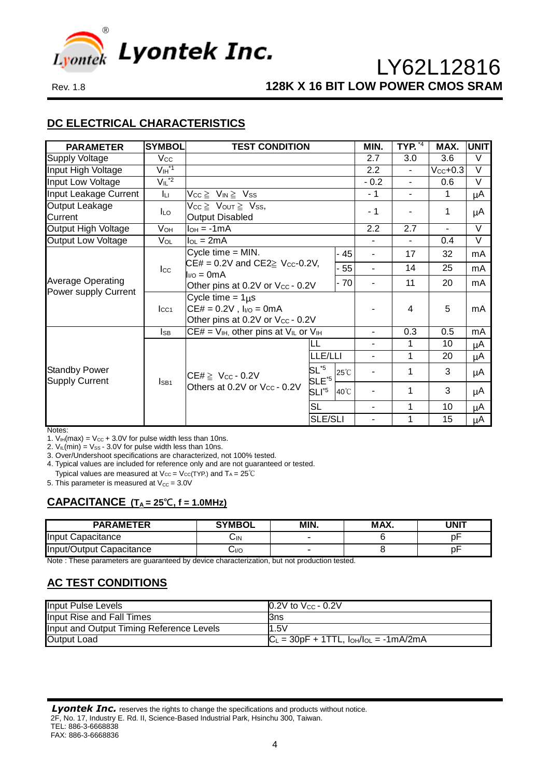

### **DC ELECTRICAL CHARACTERISTICS**

| <b>PARAMETER</b>                              | <b>SYMBOL</b>                       | <b>TEST CONDITION</b>                               |                             |                | MIN.           | <b>TYP.</b> *4           | MAX.           | <b>UNIT</b> |
|-----------------------------------------------|-------------------------------------|-----------------------------------------------------|-----------------------------|----------------|----------------|--------------------------|----------------|-------------|
| <b>Supply Voltage</b>                         | $V_{\rm CC}$                        |                                                     |                             |                | 2.7            | 3.0                      | 3.6            | V           |
| Input High Voltage                            | $V_{\mathsf{IH}}^{\ast \mathsf{1}}$ |                                                     |                             |                |                |                          |                |             |
| Input Low Voltage                             | $V_{IL}^*$ <sup>2</sup>             |                                                     |                             |                | $-0.2$         | $\blacksquare$           | 0.6            | $\vee$      |
| Input Leakage Current                         | Iц                                  | $V_{CC} \geq V_{IN} \geq V_{SS}$                    |                             |                | $-1$           | $\blacksquare$           | 1              | μA          |
| Output Leakage                                | I∟o                                 | $V_{CC} \geq V_{OUT} \geq V_{SS}$                   |                             |                | $-1$           |                          | 1              |             |
| Current                                       |                                     | <b>Output Disabled</b>                              |                             |                |                |                          |                | μA          |
| Output High Voltage                           | Vон                                 | $I_{OH} = -1mA$                                     |                             |                | 2.2            | 2.7                      | $\blacksquare$ | $\vee$      |
| <b>Output Low Voltage</b>                     | Vol                                 | $I_{OL} = 2mA$                                      |                             |                |                | $\overline{\phantom{0}}$ | 0.4            | $\vee$      |
|                                               |                                     | Cycle time $=$ MIN.                                 |                             | - 45           | $\blacksquare$ | 17                       | 32             | mA          |
|                                               | $_{\text{Lcc}}$                     | $CE# = 0.2V$ and $CE2 \geq V_{CC}$ -0.2V,<br>$-55$  |                             |                | $\blacksquare$ | 14                       | 25             | mA          |
| <b>Average Operating</b>                      |                                     | $I_{VQ} = 0mA$<br>- 70                              |                             |                |                | 11                       | 20             | mA          |
| Power supply Current                          |                                     | Other pins at 0.2V or Vcc - 0.2V                    |                             |                |                |                          |                |             |
|                                               |                                     | Cycle time = $1\mu s$                               |                             |                |                |                          |                |             |
|                                               | $I_{CC1}$                           | $CE# = 0.2V$ , $I_{I/O} = 0mA$                      |                             | 4              | 5              | mA                       |                |             |
|                                               |                                     | Other pins at 0.2V or Vcc - 0.2V                    |                             |                |                |                          |                |             |
|                                               | <b>I</b> SB                         | $CE# = V_{IH}$ , other pins at $V_{IL}$ or $V_{IH}$ |                             |                | $\blacksquare$ | 0.3                      | 0.5            | mA          |
|                                               |                                     |                                                     | LL                          |                | $\blacksquare$ | 1                        | 10             | μA          |
|                                               |                                     |                                                     | LLE/LLI                     |                | $\blacksquare$ | 1                        | 20             | μA          |
| <b>Standby Power</b><br><b>Supply Current</b> |                                     | CE# $\geq$ Vcc - 0.2V                               | $SL^{5}$<br>$SLE^{\star 5}$ | $25^{\circ}$ C |                | 1                        | 3              | μA          |
|                                               | I <sub>SB1</sub>                    | Others at 0.2V or Vcc - 0.2V                        | $SLI^{\ast 5}$              | $40^{\circ}$ C |                | 1                        | 3              | μA          |
|                                               |                                     |                                                     | <b>SL</b>                   |                | $\blacksquare$ | 1                        | 10             | μA          |
|                                               |                                     |                                                     | <b>SLE/SLI</b>              |                | 1              | 15                       | μA             |             |

Notes:

1.  $V_{IH}(max) = V_{CC} + 3.0V$  for pulse width less than 10ns.

2.  $V_{IL}(min) = V_{SS} - 3.0V$  for pulse width less than 10ns.

3. Over/Undershoot specifications are characterized, not 100% tested. 4. Typical values are included for reference only and are not guaranteed or tested.

Typical values are measured at  $V_{CC} = V_{CC}(TYP)$  and  $T_A = 25^{\circ}C$ 

5. This parameter is measured at  $V_{\text{CC}} = 3.0V$ 

#### **CAPACITANCE (T<sup>A</sup> = 25℃, f = 1.0MHz)**

| <b>PARAMETER</b>         | <b>SYMBOL</b> | MIN. | MAX. | UNIT |
|--------------------------|---------------|------|------|------|
| Input Capacitance        | しIN           | -    |      |      |
| Input/Output Capacitance | 0/آپ          | -    |      | рŀ   |

Note : These parameters are guaranteed by device characterization, but not production tested.

## **AC TEST CONDITIONS**

| <b>Input Pulse Levels</b>                | $\vert 0.2V$ to $V_{CC}$ - 0.2V                   |
|------------------------------------------|---------------------------------------------------|
| Input Rise and Fall Times                | l3ns                                              |
| Input and Output Timing Reference Levels | 1.5V                                              |
| <b>Output Load</b>                       | $ C_L = 30pF + 1TTL$ , $I_{OH}/I_{OL} = -1mA/2mA$ |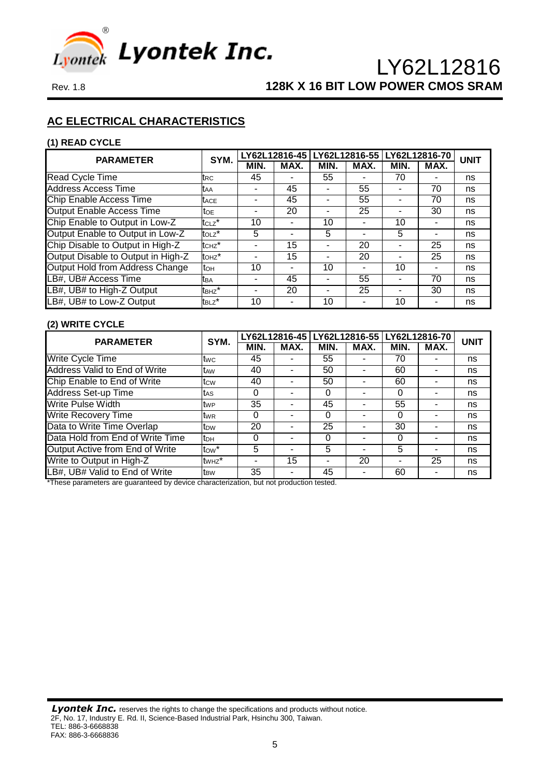

### **AC ELECTRICAL CHARACTERISTICS**

#### **(1) READ CYCLE**

| <b>PARAMETER</b>                   | SYM.                   |                          |      | LY62L12816-45 LY62L12816-55 |      | LY62L12816-70 |      | <b>UNIT</b> |
|------------------------------------|------------------------|--------------------------|------|-----------------------------|------|---------------|------|-------------|
|                                    |                        | MIN.                     | MAX. | MIN.                        | MAX. | MIN.          | MAX. |             |
| Read Cycle Time                    | trc                    | 45                       |      | 55                          |      | 70            |      | ns          |
| <b>Address Access Time</b>         | <b>t</b> aa            |                          | 45   |                             | 55   |               | 70   | ns          |
| Chip Enable Access Time            | <b>T</b> ACE           | -                        | 45   | ۰                           | 55   |               | 70   | ns          |
| <b>Output Enable Access Time</b>   | <b>TOE</b>             | $\blacksquare$           | 20   | ۰                           | 25   |               | 30   | ns          |
| Chip Enable to Output in Low-Z     | tc <sub>Lz</sub> *     | 10                       |      | 10                          |      | 10            |      | ns          |
| Output Enable to Output in Low-Z   | $t$ <sub>OLZ</sub> $*$ | 5                        | ۰    | 5                           | ۰    | 5             |      | ns          |
| Chip Disable to Output in High-Z   | tc <sub>Hz</sub> *     | $\overline{\phantom{0}}$ | 15   | ۰                           | 20   |               | 25   | ns          |
| Output Disable to Output in High-Z | $t$ OH $z^*$           |                          | 15   | ۰                           | 20   |               | 25   | ns          |
| Output Hold from Address Change    | toh                    | 10                       | ۰    | 10                          | ۰    | 10            |      | ns          |
| LB#, UB# Access Time               | tba                    | ٠                        | 45   | ۰                           | 55   |               | 70   | ns          |
| LB#, UB# to High-Z Output          | t <sub>BHZ</sub> *     | $\blacksquare$           | 20   |                             | 25   |               | 30   | ns          |
| LB#, UB# to Low-Z Output           | t <sub>BLZ</sub> *     | 10                       |      | 10                          |      | 10            |      | ns          |

#### **(2) WRITE CYCLE**

| <b>PARAMETER</b>                 | SYM.               |          |      | LY62L12816-45 LY62L12816-55 |      |      | LY62L12816-70 | <b>UNIT</b> |
|----------------------------------|--------------------|----------|------|-----------------------------|------|------|---------------|-------------|
|                                  |                    | MIN.     | MAX. | MIN.                        | MAX. | MIN. | MAX.          |             |
| Write Cycle Time                 | twc                | 45       |      | 55                          |      | 70   |               | ns          |
| Address Valid to End of Write    | t <sub>AW</sub>    | 40       |      | 50                          |      | 60   |               | ns          |
| Chip Enable to End of Write      | tcw                | 40       |      | 50                          |      | 60   |               | ns          |
| <b>Address Set-up Time</b>       | tas                | 0        |      | 0                           |      | 0    |               | ns          |
| <b>Write Pulse Width</b>         | <b>t</b> wp        | 35       |      | 45                          |      | 55   |               | ns          |
| <b>Write Recovery Time</b>       | twr                | $\Omega$ |      | 0                           | ۰    | 0    |               | ns          |
| Data to Write Time Overlap       | t <sub>DW</sub>    | 20       |      | 25                          | ۰    | 30   |               | ns          |
| Data Hold from End of Write Time | tрн                | 0        |      | 0                           | -    | 0    |               | ns          |
| Output Active from End of Write  | tow <sup>*</sup>   | 5        |      | 5                           |      | 5    |               | ns          |
| Write to Output in High-Z        | tw <sub>Hz</sub> * |          | 15   | ۰                           | 20   |      | 25            | ns          |
| LB#, UB# Valid to End of Write   | t <sub>BW</sub>    | 35       |      | 45                          |      | 60   |               | ns          |

\*These parameters are guaranteed by device characterization, but not production tested.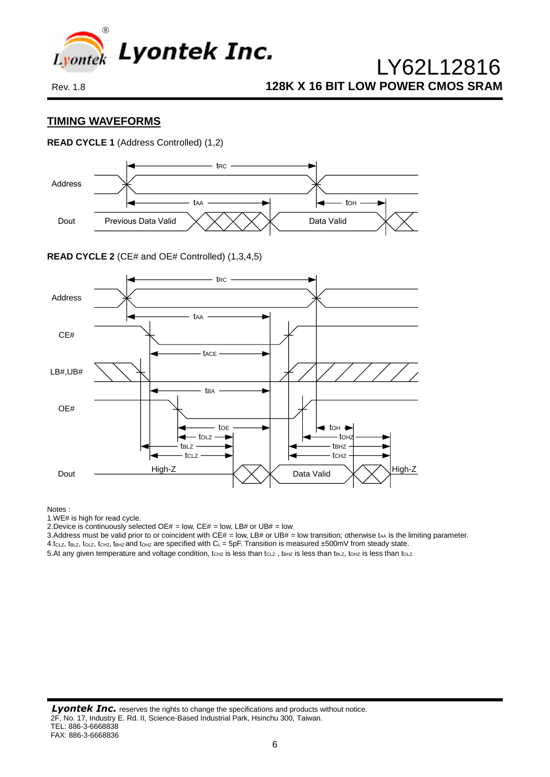

#### **TIMING WAVEFORMS**

#### **READ CYCLE 1** (Address Controlled) (1,2)



**READ CYCLE 2** (CE# and OE# Controlled) (1,3,4,5)



Notes :

1.WE# is high for read cycle.

2.Device is continuously selected OE# = low, CE# = low, LB# or UB# = low.

3.Address must be valid prior to or coincident with CE# = low, LB# or UB# = low transition; otherwise tAA is the limiting parameter.

 $4.t_{CLZ}$ ,  $t_{BLZ}$ ,  $t_{CLZ}$ ,  $t_{CHZ}$ ,  $t_{BHZ}$  and  $t_{OHZ}$  are specified with  $C_L = 5pF$ . Transition is measured  $±500mV$  from steady state.

5. At any given temperature and voltage condition,  $t_{CHZ}$  is less than  $t_{CLZ}$ ,  $t_{BHZ}$  is less than  $t_{BLZ}$ ,  $t_{OHZ}$  is less than  $t_{OLZ}$ .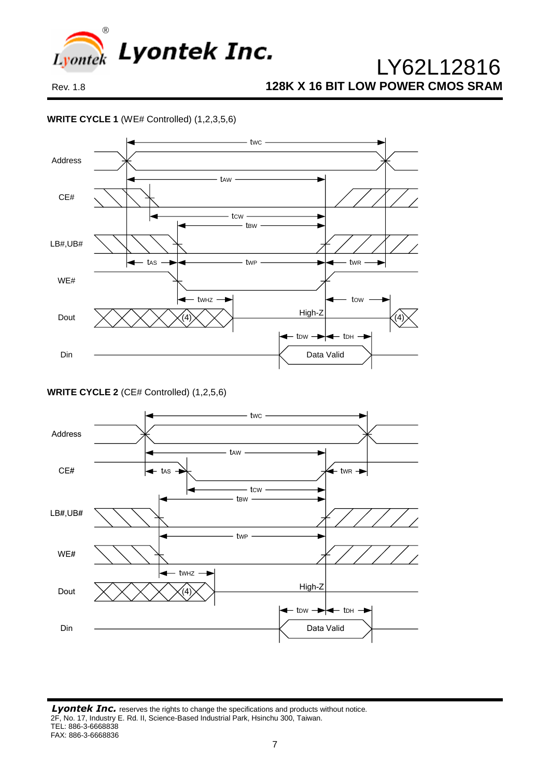

#### **WRITE CYCLE 1** (WE# Controlled) (1,2,3,5,6)



**WRITE CYCLE 2** (CE# Controlled) (1,2,5,6)

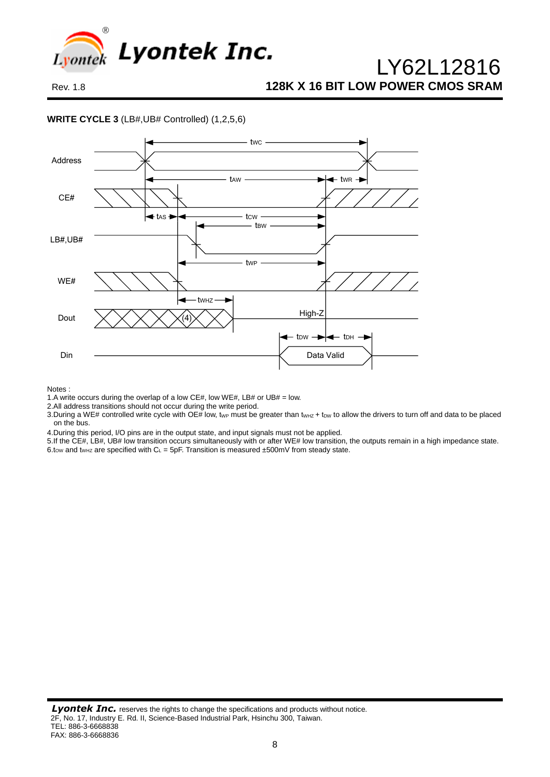

#### **WRITE CYCLE 3** (LB#,UB# Controlled) (1,2,5,6)



Notes :

1.A write occurs during the overlap of a low CE#, low WE#, LB# or UB# = low.

2.All address transitions should not occur during the write period.

3. During a WE# controlled write cycle with OE# low, twp must be greater than twHz + tow to allow the drivers to turn off and data to be placed on the bus.

4.During this period, I/O pins are in the output state, and input signals must not be applied.

5.If the CE#, LB#, UB# low transition occurs simultaneously with or after WE# low transition, the outputs remain in a high impedance state. 6.tow and tw<sub>Hz</sub> are specified with  $C_L = 5pF$ . Transition is measured ±500mV from steady state.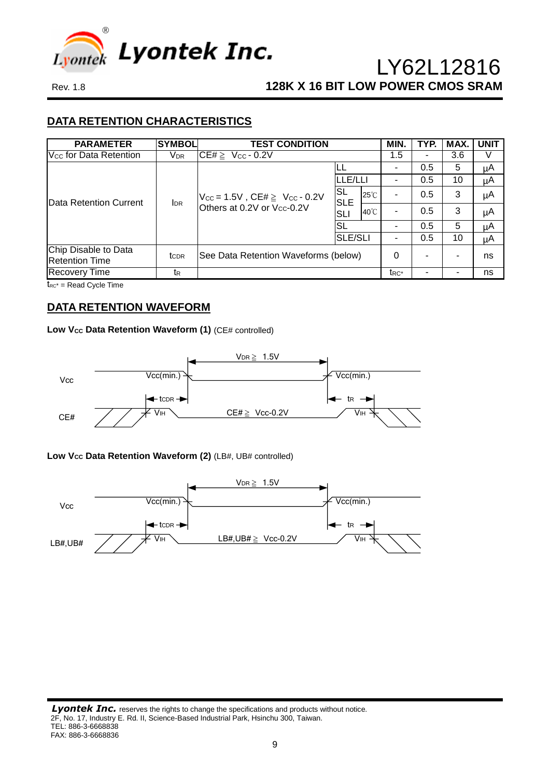

## **DATA RETENTION CHARACTERISTICS**

| <b>PARAMETER</b>                              | <b>SYMBOL</b>          | <b>TEST CONDITION</b>                                                                  |                   |                | MIN. | TYP. | MAX. | <b>UNIT</b> |
|-----------------------------------------------|------------------------|----------------------------------------------------------------------------------------|-------------------|----------------|------|------|------|-------------|
| V <sub>cc</sub> for Data Retention            | <b>V</b> <sub>DR</sub> | $CE# \geq$<br>$V_{CC}$ - 0.2V                                                          |                   |                | 1.5  |      | 3.6  |             |
|                                               |                        |                                                                                        | LL.               |                |      | 0.5  | 5    | μA          |
|                                               |                        |                                                                                        | LLE/LLI           |                |      | 0.5  | 10   | μA          |
| Data Retention Current                        | <b>IDR</b>             | $V_{\text{CC}} = 1.5V$ , CE# $\geq V_{\text{CC}} - 0.2V$<br>Others at 0.2V or Vcc-0.2V | SL<br><b>SLE</b>  | $25^{\circ}$ C |      | 0.5  | 3    | μA          |
|                                               |                        |                                                                                        | <b>SLI</b>        | $40^{\circ}$ C |      | 0.5  | 3    | μA          |
|                                               |                        |                                                                                        | SL                |                |      | 0.5  | 5    | μA          |
|                                               |                        |                                                                                        | <b>SLE/SLI</b>    |                |      | 0.5  | 10   | μA          |
| Chip Disable to Data<br><b>Retention Time</b> | tc <sub>DR</sub>       | See Data Retention Waveforms (below)                                                   | 0                 |                |      | ns   |      |             |
| <b>Recovery Time</b>                          | tr                     |                                                                                        | t <sub>RC</sub> * |                |      | ns   |      |             |

 $t_{RC}$  = Read Cycle Time

## **DATA RETENTION WAVEFORM**

#### Low V<sub>cc</sub> Data Retention Waveform (1) (CE# controlled)



#### **Low VCC Data Retention Waveform (2)** (LB#, UB# controlled)

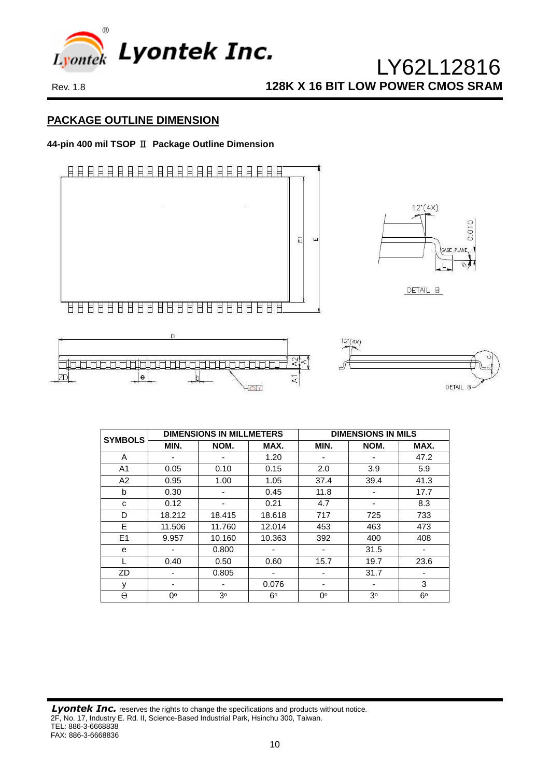

#### **PACKAGE OUTLINE DIMENSION**

#### **44-pin 400 mil TSOP** Ⅱ **Package Outline Dimension**



| <b>SYMBOLS</b> |        | <b>DIMENSIONS IN MILLMETERS</b> |             | <b>DIMENSIONS IN MILS</b> |                |                          |  |  |
|----------------|--------|---------------------------------|-------------|---------------------------|----------------|--------------------------|--|--|
|                | MIN.   | NOM.                            | MAX.        | MIN.                      | NOM.           | MAX.                     |  |  |
| A              |        | -                               | 1.20        |                           | -              | 47.2                     |  |  |
| A <sub>1</sub> | 0.05   | 0.10                            | 0.15        | 2.0                       | 3.9            | 5.9                      |  |  |
| A2             | 0.95   | 1.00                            | 1.05        | 37.4                      | 39.4           | 41.3                     |  |  |
| b              | 0.30   | ٠                               | 0.45        | 11.8                      |                | 17.7                     |  |  |
| C              | 0.12   | -                               | 0.21        | 4.7                       | -              | 8.3                      |  |  |
| D              | 18.212 | 18.415                          | 18.618      | 717                       | 725            | 733                      |  |  |
| E              | 11.506 | 11.760                          | 12.014      | 453                       | 463            | 473                      |  |  |
| E1             | 9.957  | 10.160                          | 10.363      | 392                       | 400            | 408                      |  |  |
| e              |        | 0.800                           |             | ٠                         | 31.5           | $\overline{\phantom{a}}$ |  |  |
|                | 0.40   | 0.50                            | 0.60        | 15.7                      | 19.7           | 23.6                     |  |  |
| ZD             |        | 0.805                           |             |                           | 31.7           | -                        |  |  |
| У              |        | -                               | 0.076       | -                         | -              | 3                        |  |  |
| $\Theta$       | 0°     | 3 <sup>o</sup>                  | $6^{\circ}$ | 0°                        | 3 <sup>o</sup> | $6^{\circ}$              |  |  |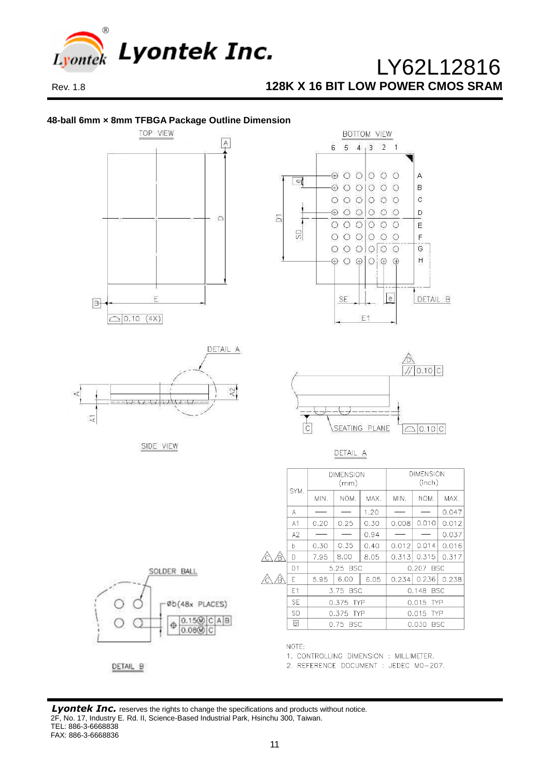

#### **48-ball 6mm × 8mm TFBGA Package Outline Dimension**



2. REFERENCE DOCUMENT : JEDEC MO-207.

#### **Lyontek Inc.** reserves the rights to change the specifications and products without notice. 2F, No. 17, Industry E. Rd. II, Science-Based Industrial Park, Hsinchu 300, Taiwan. TEL: 886-3-6668838 FAX: 886-3-6668836

DETAIL B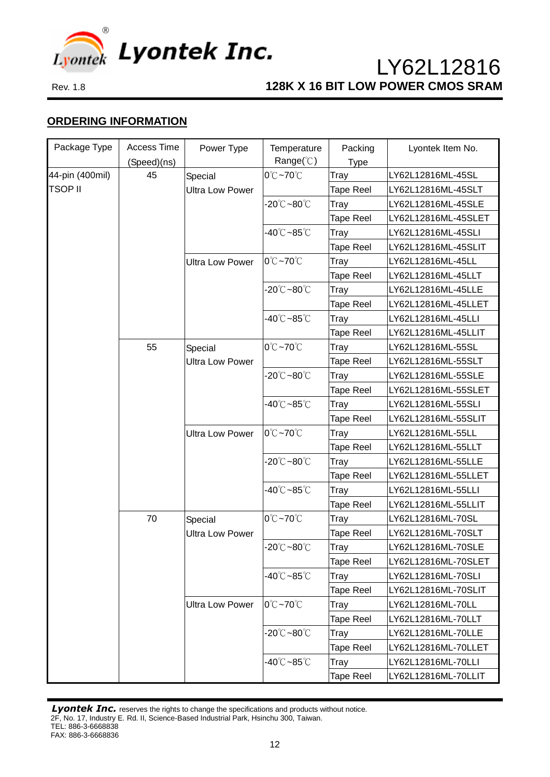

## **ORDERING INFORMATION**

| Package Type                      | Access Time | Power Type                        | Temperature                          | Packing          | Lyontek Item No.    |
|-----------------------------------|-------------|-----------------------------------|--------------------------------------|------------------|---------------------|
|                                   | (Speed)(ns) |                                   | Range( $\degree$ C)                  | <b>Type</b>      |                     |
| 44-pin (400mil)<br><b>TSOP II</b> | 45          | Special                           | $0^{\circ}$ C ~70 $^{\circ}$ C       | Tray             | LY62L12816ML-45SL   |
|                                   |             | <b>Ultra Low Power</b>            |                                      | <b>Tape Reel</b> | LY62L12816ML-45SLT  |
|                                   |             |                                   | $-20^{\circ}$ C $-80^{\circ}$ C      | Tray             | LY62L12816ML-45SLE  |
|                                   |             |                                   |                                      | Tape Reel        | LY62L12816ML-45SLET |
|                                   |             |                                   | -40℃~85℃                             | Tray             | LY62L12816ML-45SLI  |
|                                   |             |                                   |                                      | <b>Tape Reel</b> | LY62L12816ML-45SLIT |
|                                   |             | <b>Ultra Low Power</b>            | $0^{\circ}$ C ~70 $^{\circ}$ C       | Tray             | LY62L12816ML-45LL   |
|                                   |             |                                   |                                      | <b>Tape Reel</b> | LY62L12816ML-45LLT  |
|                                   |             |                                   | $-20^{\circ}$ C $-80^{\circ}$ C      | Tray             | LY62L12816ML-45LLE  |
|                                   |             |                                   |                                      | <b>Tape Reel</b> | LY62L12816ML-45LLET |
|                                   |             |                                   | -40℃~85℃                             | Tray             | LY62L12816ML-45LLI  |
|                                   |             |                                   |                                      | Tape Reel        | LY62L12816ML-45LLIT |
|                                   | 55          | Special<br><b>Ultra Low Power</b> | $0^{\circ}$ C $\sim$ 70 $^{\circ}$ C | Tray             | LY62L12816ML-55SL   |
|                                   |             |                                   |                                      | <b>Tape Reel</b> | LY62L12816ML-55SLT  |
|                                   |             |                                   | $-20^{\circ}$ C $-80^{\circ}$ C      | Tray             | LY62L12816ML-55SLE  |
|                                   |             |                                   |                                      | <b>Tape Reel</b> | LY62L12816ML-55SLET |
|                                   |             |                                   | $-40^{\circ}$ C $-85^{\circ}$ C      | Tray             | LY62L12816ML-55SLI  |
|                                   |             |                                   |                                      | Tape Reel        | LY62L12816ML-55SLIT |
|                                   |             | <b>Ultra Low Power</b>            | $0^{\circ}$ C ~70 $^{\circ}$ C       | Tray             | LY62L12816ML-55LL   |
|                                   |             |                                   |                                      | <b>Tape Reel</b> | LY62L12816ML-55LLT  |
|                                   |             |                                   | $-20^{\circ}$ C $-80^{\circ}$ C      | Tray             | LY62L12816ML-55LLE  |
|                                   |             |                                   |                                      | Tape Reel        | LY62L12816ML-55LLET |
|                                   |             |                                   | $-40^{\circ}$ C $-85^{\circ}$ C      | Tray             | LY62L12816ML-55LLI  |
|                                   |             |                                   |                                      | Tape Reel        | LY62L12816ML-55LLIT |
|                                   | 70          | Special<br><b>Ultra Low Power</b> | $0^{\circ}$ C ~70 $^{\circ}$ C       | Tray             | LY62L12816ML-70SL   |
|                                   |             |                                   |                                      | <b>Tape Reel</b> | LY62L12816ML-70SLT  |
|                                   |             |                                   | $-20^{\circ}$ C $-80^{\circ}$ C      | Tray             | LY62L12816ML-70SLE  |
|                                   |             |                                   |                                      | Tape Reel        | LY62L12816ML-70SLET |
|                                   |             |                                   | $-40^{\circ}$ C $-85^{\circ}$ C      | Tray             | LY62L12816ML-70SLI  |
|                                   |             |                                   |                                      | Tape Reel        | LY62L12816ML-70SLIT |
|                                   |             | <b>Ultra Low Power</b>            | 0°C~70°C                             | Tray             | LY62L12816ML-70LL   |
|                                   |             |                                   |                                      | Tape Reel        | LY62L12816ML-70LLT  |
|                                   |             |                                   | $-20^{\circ}$ C $-80^{\circ}$ C      | Tray             | LY62L12816ML-70LLE  |
|                                   |             |                                   |                                      | Tape Reel        | LY62L12816ML-70LLET |
|                                   |             |                                   | -40℃~85℃                             | Tray             | LY62L12816ML-70LLI  |
|                                   |             |                                   |                                      | Tape Reel        | LY62L12816ML-70LLIT |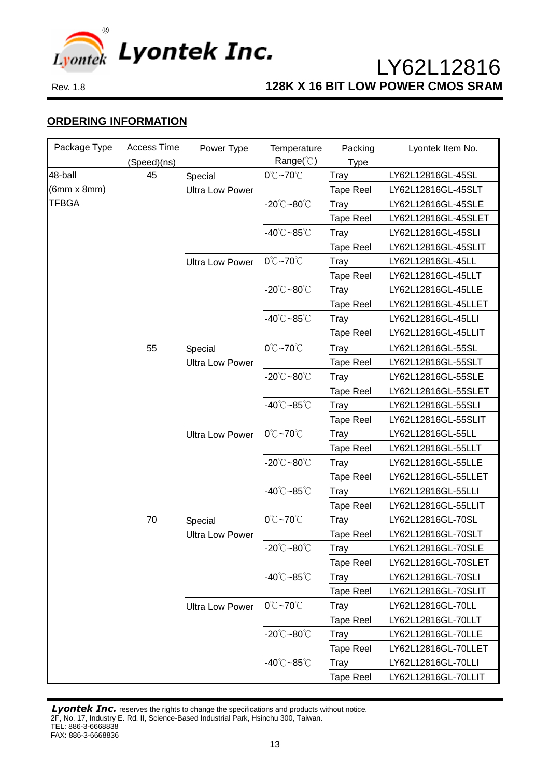

## **ORDERING INFORMATION**

| Package Type       | Access Time | Power Type                        | Temperature                          | Packing          | Lyontek Item No.    |
|--------------------|-------------|-----------------------------------|--------------------------------------|------------------|---------------------|
|                    | (Speed)(ns) |                                   | Range( $\degree$ C)                  | <b>Type</b>      |                     |
| 48-ball            | 45          | Special                           | $0^{\circ}$ C $\sim$ 70 $^{\circ}$ C | Tray             | LY62L12816GL-45SL   |
| $(6mm \times 8mm)$ |             | <b>Ultra Low Power</b>            |                                      | <b>Tape Reel</b> | LY62L12816GL-45SLT  |
| <b>TFBGA</b>       |             |                                   | $-20^{\circ}$ C $-80^{\circ}$ C      | Tray             | LY62L12816GL-45SLE  |
|                    |             |                                   |                                      | <b>Tape Reel</b> | LY62L12816GL-45SLET |
|                    |             |                                   | $-40^{\circ}$ C $-85^{\circ}$ C      | Tray             | LY62L12816GL-45SLI  |
|                    |             |                                   |                                      | <b>Tape Reel</b> | LY62L12816GL-45SLIT |
|                    |             | <b>Ultra Low Power</b>            | $0^{\circ}$ C $\sim$ 70 $^{\circ}$ C | Tray             | LY62L12816GL-45LL   |
|                    |             |                                   |                                      | <b>Tape Reel</b> | LY62L12816GL-45LLT  |
|                    |             |                                   | $-20^{\circ}$ C $-80^{\circ}$ C      | Tray             | LY62L12816GL-45LLE  |
|                    |             |                                   |                                      | Tape Reel        | LY62L12816GL-45LLET |
|                    |             |                                   | -40℃~85℃                             | Tray             | LY62L12816GL-45LLI  |
|                    |             |                                   |                                      | <b>Tape Reel</b> | LY62L12816GL-45LLIT |
|                    | 55          | Special<br><b>Ultra Low Power</b> | $0^{\circ}$ C $\sim$ 70 $^{\circ}$ C | Tray             | LY62L12816GL-55SL   |
|                    |             |                                   |                                      | <b>Tape Reel</b> | LY62L12816GL-55SLT  |
|                    |             |                                   | $-20^{\circ}$ C $-80^{\circ}$ C      | Tray             | LY62L12816GL-55SLE  |
|                    |             |                                   |                                      | <b>Tape Reel</b> | LY62L12816GL-55SLET |
|                    |             |                                   | $-40^{\circ}$ C $-85^{\circ}$ C      | Tray             | LY62L12816GL-55SLI  |
|                    |             |                                   |                                      | <b>Tape Reel</b> | LY62L12816GL-55SLIT |
|                    |             | <b>Ultra Low Power</b>            | $0^{\circ}$ C $\sim$ 70 $^{\circ}$ C | Tray             | LY62L12816GL-55LL   |
|                    |             |                                   |                                      | <b>Tape Reel</b> | LY62L12816GL-55LLT  |
|                    |             |                                   | -20℃~80℃                             | Tray             | LY62L12816GL-55LLE  |
|                    |             |                                   |                                      | <b>Tape Reel</b> | LY62L12816GL-55LLET |
|                    |             |                                   | $-40^{\circ}$ C $-85^{\circ}$ C      | Tray             | LY62L12816GL-55LLI  |
|                    |             |                                   |                                      | <b>Tape Reel</b> | LY62L12816GL-55LLIT |
|                    | 70          | Special<br><b>Ultra Low Power</b> | 0°C~70°C                             | Tray             | LY62L12816GL-70SL   |
|                    |             |                                   |                                      | <b>Tape Reel</b> | LY62L12816GL-70SLT  |
|                    |             |                                   | $-20^{\circ}$ C $-80^{\circ}$ C      | Tray             | LY62L12816GL-70SLE  |
|                    |             |                                   |                                      | <b>Tape Reel</b> | LY62L12816GL-70SLET |
|                    |             |                                   | $-40^{\circ}$ C $-85^{\circ}$ C      | Tray             | LY62L12816GL-70SLI  |
|                    |             |                                   |                                      | <b>Tape Reel</b> | LY62L12816GL-70SLIT |
|                    |             | <b>Ultra Low Power</b>            | 0°C~70°C                             | Tray             | LY62L12816GL-70LL   |
|                    |             |                                   |                                      | <b>Tape Reel</b> | LY62L12816GL-70LLT  |
|                    |             |                                   | $-20^{\circ}$ C $-80^{\circ}$ C      | Tray             | LY62L12816GL-70LLE  |
|                    |             |                                   |                                      | <b>Tape Reel</b> | LY62L12816GL-70LLET |
|                    |             |                                   | $-40^{\circ}$ C $-85^{\circ}$ C      | Tray             | LY62L12816GL-70LLI  |
|                    |             |                                   |                                      | <b>Tape Reel</b> | LY62L12816GL-70LLIT |